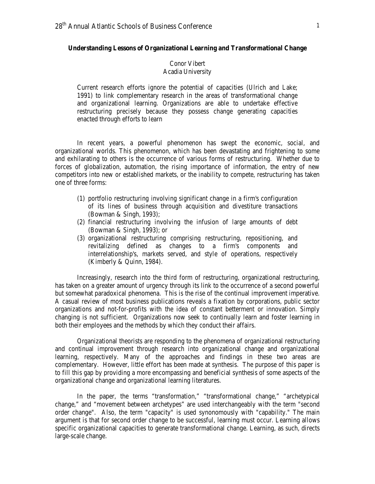## **Understanding Lessons of Organizational Learning and Transformational Change**

# Conor Vibert Acadia University

Current research efforts ignore the potential of capacities (Ulrich and Lake; 1991) to link complementary research in the areas of transformational change and organizational learning. Organizations are able to undertake effective restructuring precisely because they possess change generating capacities enacted through efforts to learn

In recent years, a powerful phenomenon has swept the economic, social, and organizational worlds. This phenomenon, which has been devastating and frightening to some and exhilarating to others is the occurrence of various forms of restructuring. Whether due to forces of globalization, automation, the rising importance of information, the entry of new competitors into new or established markets, or the inability to compete, restructuring has taken one of three forms:

- (1) portfolio restructuring involving significant change in a firm's configuration of its lines of business through acquisition and divestiture transactions (Bowman & Singh, 1993);
- (2) financial restructuring involving the infusion of large amounts of debt (Bowman & Singh, 1993); or
- (3) organizational restructuring comprising restructuring, repositioning, and revitalizing defined as changes to a firm's components and interrelationship's, markets served, and style of operations, respectively (Kimberly & Quinn, 1984).

Increasingly, research into the third form of restructuring, organizational restructuring, has taken on a greater amount of urgency through its link to the occurrence of a second powerful but somewhat paradoxical phenomena. This is the rise of the continual improvement imperative. A casual review of most business publications reveals a fixation by corporations, public sector organizations and not-for-profits with the idea of constant betterment or innovation. Simply changing is not sufficient. Organizations now seek to continually learn and foster learning in both their employees and the methods by which they conduct their affairs.

Organizational theorists are responding to the phenomena of organizational restructuring and continual improvement through research into organizational change and organizational learning, respectively. Many of the approaches and findings in these two areas are complementary. However, little effort has been made at synthesis. The purpose of this paper is to fill this gap by providing a more encompassing and beneficial synthesis of some aspects of the organizational change and organizational learning literatures.

In the paper, the terms "transformation," "transformational change," "archetypical change," and "movement between archetypes" are used interchangeably with the term "second order change". Also, the term "capacity" is used synonomously with "capability." The main argument is that for second order change to be successful, learning must occur. Learning allows specific organizational capacities to generate transformational change. Learning, as such, directs large-scale change.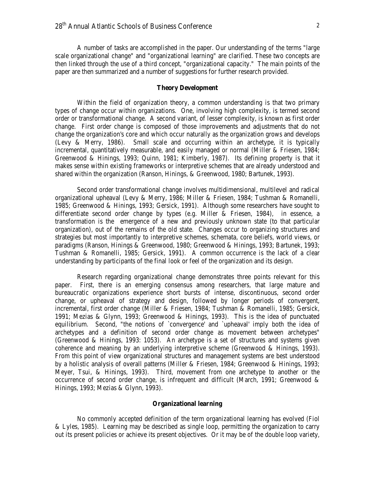A number of tasks are accomplished in the paper. Our understanding of the terms "large scale organizational change" and "organizational learning" are clarified. These two concepts are then linked through the use of a third concept, "organizational capacity." The main points of the paper are then summarized and a number of suggestions for further research provided.

# **Theory Development**

Within the field of organization theory, a common understanding is that two primary types of change occur within organizations. One, involving high complexity, is termed second order or transformational change. A second variant, of lesser complexity, is known as first order change. First order change is composed of those improvements and adjustments that do not change the organization's core and which occur naturally as the organization grows and develops (Levy & Merry, 1986). Small scale and occurring within an archetype, it is typically incremental, quantitatively measurable, and easily managed or normal (Miller & Friesen, 1984; Greenwood & Hinings, 1993; Quinn, 1981; Kimberly, 1987). Its defining property is that it makes sense within existing frameworks or interpretive schemes that are already understood and shared within the organization (Ranson, Hinings, & Greenwood, 1980; Bartunek, 1993).

Second order transformational change involves multidimensional, multilevel and radical organizational upheaval (Levy & Merry, 1986; Miller & Friesen, 1984; Tushman & Romanelli, 1985; Greenwood & Hinings, 1993; Gersick, 1991). Although some researchers have sought to differentiate second order change by types (e.g. Miller & Friesen, 1984), in essence, a transformation is the emergence of a new and previously unknown state (to that particular organization), out of the remains of the old state. Changes occur to organizing structures and strategies but most importantly to interpretive schemes, schemata, core beliefs, world views, or paradigms (Ranson, Hinings & Greenwood, 1980; Greenwood & Hinings, 1993; Bartunek, 1993; Tushman & Romanelli, 1985; Gersick, 1991). A common occurrence is the lack of a clear understanding by participants of the final look or feel of the organization and its design.

Research regarding organizational change demonstrates three points relevant for this paper. First, there is an emerging consensus among researchers, that large mature and bureaucratic organizations experience short bursts of intense, discontinuous, second order change, or upheaval of strategy and design, followed by longer periods of convergent, incremental, first order change (Miller & Friesen, 1984; Tushman & Romanelli, 1985; Gersick, 1991; Mezias & Glynn, 1993; Greenwood & Hinings, 1993). This is the idea of punctuated equilibrium. Second, "the notions of `convergence' and `upheaval' imply both the idea of archetypes and a definition of second order change as movement between archetypes" (Greenwood & Hinings, 1993: 1053). An archetype is a set of structures and systems given coherence and meaning by an underlying interpretive scheme (Greenwood & Hinings, 1993). From this point of view organizational structures and management systems are best understood by a holistic analysis of overall patterns (Miller & Friesen, 1984; Greenwood & Hinings, 1993; Meyer, Tsui, & Hinings, 1993). Third, movement from one archetype to another or the occurrence of second order change, is infrequent and difficult (March, 1991; Greenwood & Hinings, 1993; Mezias & Glynn, 1993).

### **Organizational learning**

No commonly accepted definition of the term organizational learning has evolved (Fiol & Lyles, 1985). Learning may be described as single loop, permitting the organization to carry out its present policies or achieve its present objectives. Or it may be of the double loop variety,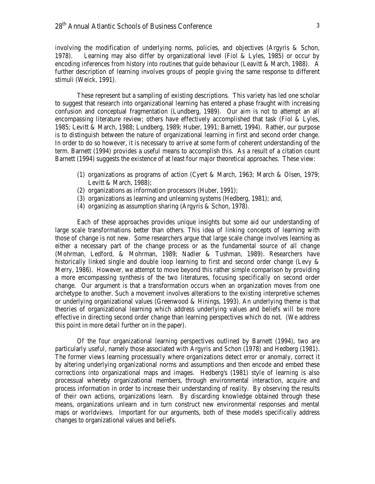involving the modification of underlying norms, policies, and objectives (Argyris & Schon, 1978). Learning may also differ by organizational level (Fiol & Lyles, 1985) or occur by encoding inferences from history into routines that guide behaviour (Leavitt & March, 1988). A further description of learning involves groups of people giving the same response to different stimuli (Weick, 1991).

These represent but a sampling of existing descriptions. This variety has led one scholar to suggest that research into organizational learning has entered a phase fraught with increasing confusion and conceptual fragmentation (Lundberg, 1989). Our aim is not to attempt an all encompassing literature review; others have effectively accomplished that task (Fiol & Lyles, 1985; Levitt & March, 1988; Lundberg, 1989; Huber, 1991; Barnett, 1994). Rather, our purpose is to distinguish between the nature of organizational learning in first and second order change. In order to do so however, it is necessary to arrive at some form of coherent understanding of the term. Barnett (1994) provides a useful means to accomplish this. As a result of a citation count Barnett (1994) suggests the existence of at least four major theoretical approaches. These view:

- (1) organizations as programs of action (Cyert & March, 1963; March & Olsen, 1979; Levitt & March, 1988);
- (2) organizations as information processors (Huber, 1991);
- (3) organizations as learning and unlearning systems (Hedberg, 1981); and,
- (4) organizing as assumption sharing (Argyris & Schon, 1978).

Each of these approaches provides unique insights but some aid our understanding of large scale transformations better than others. This idea of linking concepts of learning with those of change is not new. Some researchers argue that large scale change involves learning as either a necessary part of the change process or as the fundamental source of all change (Mohrman, Ledford, & Mohrman, 1989; Nadler & Tushman, 1989). Researchers have historically linked single and double loop learning to first and second order change (Levy & Merry, 1986). However, we attempt to move beyond this rather simple comparison by providing a more encompassing synthesis of the two literatures, focusing specifically on second order change. Our argument is that a transformation occurs when an organization moves from one archetype to another. Such a movement involves alterations to the existing interpretive schemes or underlying organizational values (Greenwood & Hinings, 1993). An underlying theme is that theories of organizational learning which address underlying values and beliefs will be more effective in directing second order change than learning perspectives which do not. (We address this point in more detail further on in the paper).

Of the four organizational learning perspectives outlined by Barnett (1994), two are particularly useful, namely those associated with Argyris and Schon (1978) and Hedberg (1981). The former views learning processually where organizations detect error or anomaly, correct it by altering underlying organizational norms and assumptions and then encode and embed these corrections into organizational maps and images. Hedberg's (1981) style of learning is also processual whereby organizational members, through environmental interaction, acquire and process information in order to increase their understanding of reality. By observing the results of their own actions, organizations learn. By discarding knowledge obtained through these means, organizations unlearn and in turn construct new environmental responses and mental maps or worldviews. Important for our arguments, both of these models specifically address changes to organizational values and beliefs.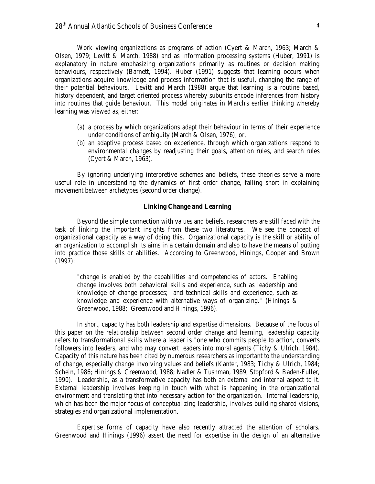Work viewing organizations as programs of action (Cyert & March, 1963; March & Olsen, 1979; Levitt & March, 1988) and as information processing systems (Huber, 1991) is explanatory in nature emphasizing organizations primarily as routines or decision making behaviours, respectively (Barnett, 1994). Huber (1991) suggests that learning occurs when organizations acquire knowledge and process information that is useful, changing the range of their potential behaviours. Levitt and March (1988) argue that learning is a routine based, history dependent, and target oriented process whereby subunits encode inferences from history into routines that guide behaviour. This model originates in March's earlier thinking whereby learning was viewed as, either:

- (a) a process by which organizations adapt their behaviour in terms of their experience under conditions of ambiguity (March & Olsen, 1976); or,
- (b) an adaptive process based on experience, through which organizations respond to environmental changes by readjusting their goals, attention rules, and search rules (Cyert & March, 1963).

By ignoring underlying interpretive schemes and beliefs, these theories serve a more useful role in understanding the dynamics of first order change, falling short in explaining movement between archetypes (second order change).

#### **Linking Change and Learning**

Beyond the simple connection with values and beliefs, researchers are still faced with the task of linking the important insights from these two literatures. We see the concept of organizational capacity as a way of doing this. Organizational capacity is the skill or ability of an organization to accomplish its aims in a certain domain and also to have the means of putting into practice those skills or abilities. According to Greenwood, Hinings, Cooper and Brown (1997):

"change is enabled by the capabilities and competencies of actors. Enabling change involves both behavioral skills and experience, such as leadership and knowledge of change processes; and technical skills and experience, such as knowledge and experience with alternative ways of organizing." (Hinings & Greenwood, 1988; Greenwood and Hinings, 1996).

In short, capacity has both leadership and expertise dimensions. Because of the focus of this paper on the relationship between second order change and learning, leadership capacity refers to transformational skills where a leader is "one who commits people to action, converts followers into leaders, and who may convert leaders into moral agents (Tichy & Ulrich, 1984). Capacity of this nature has been cited by numerous researchers as important to the understanding of change, especially change involving values and beliefs (Kanter, 1983; Tichy & Ulrich, 1984; Schein, 1986; Hinings & Greenwood, 1988; Nadler & Tushman, 1989; Stopford & Baden-Fuller, 1990). Leadership, as a transformative capacity has both an external and internal aspect to it. External leadership involves keeping in touch with what is happening in the organizational environment and translating that into necessary action for the organization. Internal leadership, which has been the major focus of conceptualizing leadership, involves building shared visions, strategies and organizational implementation.

Expertise forms of capacity have also recently attracted the attention of scholars. Greenwood and Hinings (1996) assert the need for expertise in the design of an alternative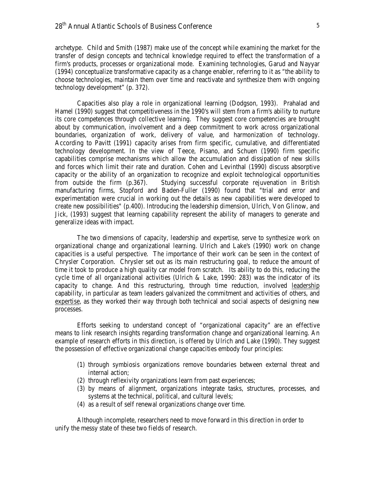archetype. Child and Smith (1987) make use of the concept while examining the market for the transfer of design concepts and technical knowledge required to effect the transformation of a firm's products, processes or organizational mode. Examining technologies, Garud and Nayyar (1994) conceptualize transformative capacity as a change enabler, referring to it as "the ability to choose technologies, maintain them over time and reactivate and synthesize them with ongoing technology development" (p. 372).

Capacities also play a role in organizational learning (Dodgson, 1993). Prahalad and Hamel (1990) suggest that competitiveness in the 1990's will stem from a firm's ability to nurture its core competences through collective learning. They suggest core competencies are brought about by communication, involvement and a deep commitment to work across organizational boundaries, organization of work, delivery of value, and harmonization of technology. According to Pavitt (1991) capacity arises from firm specific, cumulative, and differentiated technology development. In the view of Teece, Pisano, and Schuen (1990) firm specific capabilities comprise mechanisms which allow the accumulation and dissipation of new skills and forces which limit their rate and duration. Cohen and Levinthal (1990) discuss absorptive capacity or the ability of an organization to recognize and exploit technological opportunities from outside the firm (p.367). Studying successful corporate rejuvenation in British manufacturing firms, Stopford and Baden-Fuller (1990) found that "trial and error and experimentation were crucial in working out the details as new capabilities were developed to create new possibilities" (p.400). Introducing the leadership dimension, Ulrich, Von Glinow, and Jick, (1993) suggest that learning capability represent the ability of managers to generate and generalize ideas with impact.

The two dimensions of capacity, leadership and expertise, serve to synthesize work on organizational change and organizational learning. Ulrich and Lake's (1990) work on change capacities is a useful perspective. The importance of their work can be seen in the context of Chrysler Corporation. Chrysler set out as its main restructuring goal, to reduce the amount of time it took to produce a high quality car model from scratch. Its ability to do this, reducing the cycle time of all organizational activities (Ulrich & Lake, 1990: 283) was the indicator of its capacity to change. And this restructuring, through time reduction, involved leadership capability, in particular as team leaders galvanized the commitment and activities of others, and expertise, as they worked their way through both technical and social aspects of designing new processes.

Efforts seeking to understand concept of "organizational capacity" are an effective means to link research insights regarding transformation change and organizational learning. An example of research efforts in this direction, is offered by Ulrich and Lake (1990). They suggest the possession of effective organizational change capacities embody four principles:

- (1) through symbiosis organizations remove boundaries between external threat and internal action;
- (2) through reflexivity organizations learn from past experiences;
- (3) by means of alignment, organizations integrate tasks, structures, processes, and systems at the technical, political, and cultural levels;
- (4) as a result of self renewal organizations change over time.

Although incomplete, researchers need to move forward in this direction in order to unify the messy state of these two fields of research.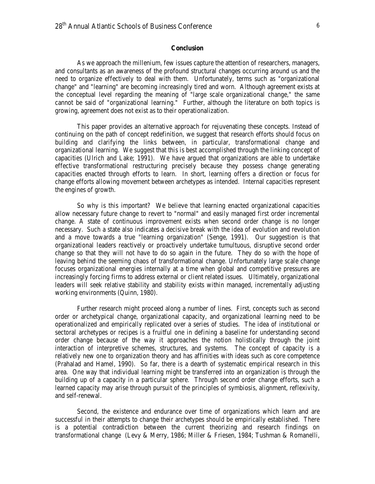As we approach the millenium, few issues capture the attention of researchers, managers, and consultants as an awareness of the profound structural changes occurring around us and the need to organize effectively to deal with them. Unfortunately, terms such as "organizational change" and "learning" are becoming increasingly tired and worn. Although agreement exists at the conceptual level regarding the meaning of "large scale organizational change," the same cannot be said of "organizational learning." Further, although the literature on both topics is growing, agreement does not exist as to their operationalization.

This paper provides an alternative approach for rejuvenating these concepts. Instead of continuing on the path of concept redefinition, we suggest that research efforts should focus on building and clarifying the links between, in particular, transformational change and organizational learning. We suggest that this is best accomplished through the linking concept of capacities (Ulrich and Lake; 1991). We have argued that organizations are able to undertake effective transformational restructuring precisely because they possess change generating capacities enacted through efforts to learn. In short, learning offers a direction or focus for change efforts allowing movement between archetypes as intended. Internal capacities represent the engines of growth.

So why is this important? We believe that learning enacted organizational capacities allow necessary future change to revert to "normal" and easily managed first order incremental change. A state of continuous improvement exists when second order change is no longer necessary. Such a state also indicates a decisive break with the idea of evolution and revolution and a move towards a true "learning organization" (Senge, 1991). Our suggestion is that organizational leaders reactively or proactively undertake tumultuous, disruptive second order change so that they will not have to do so again in the future. They do so with the hope of leaving behind the seeming chaos of transformational change. Unfortunately large scale change focuses organizational energies internally at a time when global and competitive pressures are increasingly forcing firms to address external or client related issues. Ultimately, organizational leaders will seek relative stability and stability exists within managed, incrementally adjusting working environments (Quinn, 1980).

Further research might proceed along a number of lines. First, concepts such as second order or archetypical change, organizational capacity, and organizational learning need to be operationalized and empirically replicated over a series of studies. The idea of institutional or sectoral archetypes or recipes is a fruitful one in defining a baseline for understanding second order change because of the way it approaches the notion holistically through the joint interaction of interpretive schemes, structures, and systems. The concept of capacity is a relatively new one to organization theory and has affinities with ideas such as core competence (Prahalad and Hamel, 1990). So far, there is a dearth of systematic empirical research in this area. One way that individual learning might be transferred into an organization is through the building up of a capacity in a particular sphere. Through second order change efforts, such a learned capacity may arise through pursuit of the principles of symbiosis, alignment, reflexivity, and self-renewal.

Second, the existence and endurance over time of organizations which learn and are successful in their attempts to change their archetypes should be empirically established. There is a potential contradiction between the current theorizing and research findings on transformational change (Levy & Merry, 1986; Miller & Friesen, 1984; Tushman & Romanelli,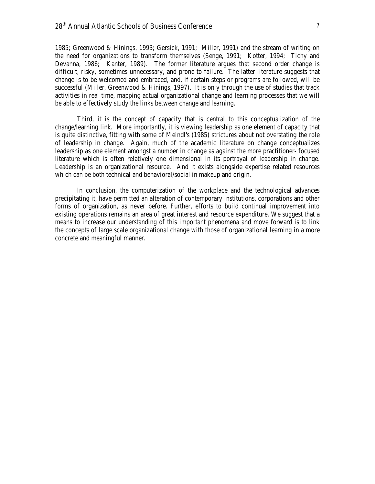1985; Greenwood & Hinings, 1993; Gersick, 1991; Miller, 1991) and the stream of writing on the need for organizations to transform themselves (Senge, 1991; Kotter, 1994; Tichy and Devanna, 1986; Kanter, 1989). The former literature argues that second order change is difficult, risky, sometimes unnecessary, and prone to failure. The latter literature suggests that change is to be welcomed and embraced, and, if certain steps or programs are followed, will be successful (Miller, Greenwood & Hinings, 1997). It is only through the use of studies that track activities in real time, mapping actual organizational change and learning processes that we will be able to effectively study the links between change and learning.

Third, it is the concept of capacity that is central to this conceptualization of the change/learning link. More importantly, it is viewing leadership as one element of capacity that is quite distinctive, fitting with some of Meindl's (1985) strictures about not overstating the role of leadership in change. Again, much of the academic literature on change conceptualizes leadership as one element amongst a number in change as against the more practitioner- focused literature which is often relatively one dimensional in its portrayal of leadership in change. Leadership is an organizational resource. And it exists alongside expertise related resources which can be both technical and behavioral/social in makeup and origin.

In conclusion, the computerization of the workplace and the technological advances precipitating it, have permitted an alteration of contemporary institutions, corporations and other forms of organization, as never before. Further, efforts to build continual improvement into existing operations remains an area of great interest and resource expenditure. We suggest that a means to increase our understanding of this important phenomena and move forward is to link the concepts of large scale organizational change with those of organizational learning in a more concrete and meaningful manner.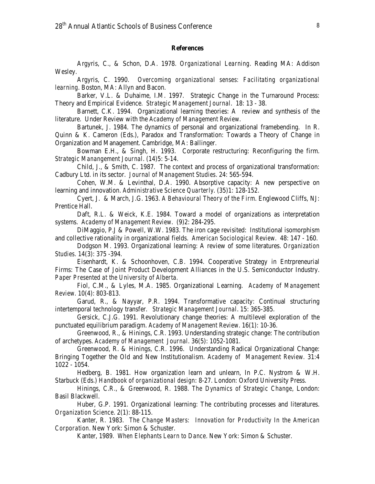#### **References**

Argyris, C., & Schon, D.A. 1978. *Organizational Learning*. Reading MA: Addison Wesley.

Argyris, C. 1990. *Overcoming organizational senses: Facilitating organizational learning*. Boston, MA: Allyn and Bacon.

Barker, V.L. & Duhaime, I.M. 1997. Strategic Change in the Turnaround Process: Theory and Empirical Evidence*. Strategic Management Journal*. 18: 13 - 38.

Barnett, C.K. 1994. Organizational learning theories: A review and synthesis of the literature. Under Review with the *Academy of Management Review*.

Bartunek, J. 1984. The dynamics of personal and organizational framebending. In R. Quinn & K. Cameron (Eds.), Paradox and Transformation: Towards a Theory of Change in Organization and Management. Cambridge, MA: Ballinger.

Bowman E.H., & Singh, H. 1993. Corporate restructuring: Reconfiguring the firm. *Strategic Manangement Journal*. (14)5: 5-14.

Child, J., & Smith, C. 1987. The context and process of organizational transformation: Cadbury Ltd. in its sector. *Journal of Management Studies*. 24: 565-594.

Cohen, W.M. & Levinthal, D.A. 1990. Absorptive capacity: A new perspective on learning and innovation. *Administrative Science Quarterly*. (35)1: 128-152.

Cyert, J. & March, J.G. 1963. *A Behavioural Theory of the Firm*. Englewood Cliffs, NJ: Prentice Hall.

Daft, R.L. & Weick, K.E. 1984. Toward a model of organizations as interpretation systems. *Academy of Management Review*. (9)2: 284-295.

DiMaggio, P.J & Powell, W.W. 1983. The iron cage revisited: Institutional isomorphism and collective rationality in organizational fields. *American Sociological Review*. 48: 147 - 160.

Dodgson M. 1993. Organizational learning: A review of some literatures. *Organization Studies.* 14(3): 375 -394.

Eisenhardt, K. & Schoonhoven, C.B. 1994. Cooperative Strategy in Entrpreneurial Firms: The Case of Joint Product Development Alliances in the U.S. Semiconductor Industry. *Paper Presented at the University of Alberta.*

Fiol, C.M., & Lyles, M.A. 1985. Organizational Learning. *Academy of Management Review.* 10(4): 803-813.

Garud, R., & Nayyar, P.R. 1994. Transformative capacity: Continual structuring intertemporal technology transfer. *Strategic Management Journal*. 15: 365-385.

Gersick, C.J.G. 1991. Revolutionary change theories: A multilevel exploration of the punctuated equilibrium paradigm. *Academy of Management Review*. 16(1): 10-36.

Greenwood, R., & Hinings, C.R. 1993. Understanding strategic change: The contribution of archetypes. *Academy of Management Journal*. 36(5): 1052-1081.

Greenwood, R. & Hinings, C.R. 1996. Understanding Radical Organizational Change: Bringing Together the Old and New Institutionalism. *Academy of Management Review.* 31:4 1022 - 1054.

Hedberg, B. 1981. How organization learn and unlearn, In P.C. Nystrom & W.H. Starbuck (Eds.) *Handbook of organizational design*: 8-27. London: Oxford University Press.

Hinings, C.R., & Greenwood, R. 1988. *The Dynamics of Strategic Change*, London: Basil Blackwell.

Huber, G.P. 1991. Organizational learning: The contributing processes and literatures. *Organization Science*. 2(1): 88-115.

Kanter, R. 1983. *The Change Masters: Innovation for Productivity In the American Corporation*. New York: Simon & Schuster.

Kanter, 1989. *When Elephants Learn to Dance*. New York: Simon & Schuster.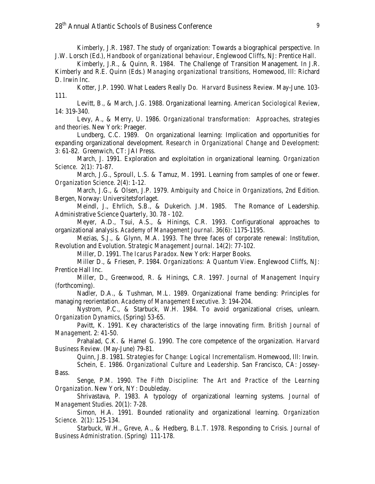Kimberly, J.R. 1987. The study of organization: Towards a biographical perspective. In J.W. Lorsch (Ed.), *Handbook of organizational behaviour*, Englewood Cliffs, NJ: Prentice Hall.

Kimberly, J.R., & Quinn, R. 1984. The Challenge of Transition Management. In J.R. Kimberly and R.E. Quinn (Eds.) *Managing organizational transitions*, Homewood, Ill: Richard D. Irwin Inc.

Kotter, J.P. 1990. What Leaders Really Do. *Harvard Business Review.* May-June. 103- 111.

Levitt, B., & March, J.G. 1988. Organizational learning. *American Sociological Review*, 14: 319-340.

Levy, A., & Merry, U. 1986. *Organizational transformation: Approaches, strategies and theories*. New York: Praeger.

Lundberg, C.C. 1989. On organizational learning: Implication and opportunities for expanding organizational development. *Research in Organizational Change and Development*: 3: 61-82. Greenwich, CT: JAI Press.

March, J. 1991. Exploration and exploitation in organizational learning. *Organization Science*. 2(1): 71-87.

March, J.G., Sproull, L.S. & Tamuz, M. 1991. Learning from samples of one or fewer. *Organization Science*. 2(4): 1-12.

March, J.G., & Olsen, J.P. 1979. *Ambiguity and Choice in Organizations*, 2nd Edition. Bergen, Norway: Universitetsforlaget.

Meindl, J., Ehrlich, S.B., & Dukerich. J.M. 1985. The Romance of Leadership. Administrative Science Quarterly, 30. 78 - 102.

Meyer, A.D., Tsui, A.S., & Hinings, C.R. 1993. Configurational approaches to organizational analysis. *Academy of Management Journal*. 36(6): 1175-1195.

Mezias, S.J., & Glynn, M.A. 1993. The three faces of corporate renewal: Institution, Revolution and Evolution. *Strategic Management Journal*. 14(2): 77-102.

Miller, D. 1991. *The Icarus Paradox*. New York: Harper Books.

Miller D., & Friesen, P. 1984. *Organizations: A Quantum View*. Englewood Cliffs, NJ: Prentice Hall Inc.

Miller, D., Greenwood, R. & Hinings, C.R. 1997. *Journal of Management Inquiry* (forthcoming).

Nadler, D.A., & Tushman, M.L. 1989. Organizational frame bending: Principles for managing reorientation. *Academy of Management Executive.* 3: 194-204.

Nystrom, P.C., & Starbuck, W.H. 1984. To avoid organizational crises, unlearn. *Organization Dynamics*, (Spring) 53-65.

Pavitt, K. 1991. Key characteristics of the large innovating firm. *British Journal of Management*. 2: 41-50.

Prahalad, C.K. & Hamel G. 1990. The core competence of the organization. *Harvard Business Review*. (May-June) 79-81.

Quinn, J.B. 1981. *Strategies for Change: Logical Incrementalism*. Homewood, Ill: Irwin.

Schein, E. 1986. *Organizational Culture and Leadership*. San Francisco, CA: Jossey-Bass.

Senge, P.M. 1990. *The Fifth Discipline: The Art and Practice of the Learning Organization*. New York, NY: Doubleday.

Shrivastava, P. 1983. A typology of organizational learning systems. *Journal of Management Studies*. 20(1): 7-28.

Simon, H.A. 1991. Bounded rationality and organizational learning. *Organization Science*. 2(1): 125-134.

Starbuck, W.H., Greve, A., & Hedberg, B.L.T. 1978. Responding to Crisis. *Journal of Business Administration*. (Spring) 111-178.